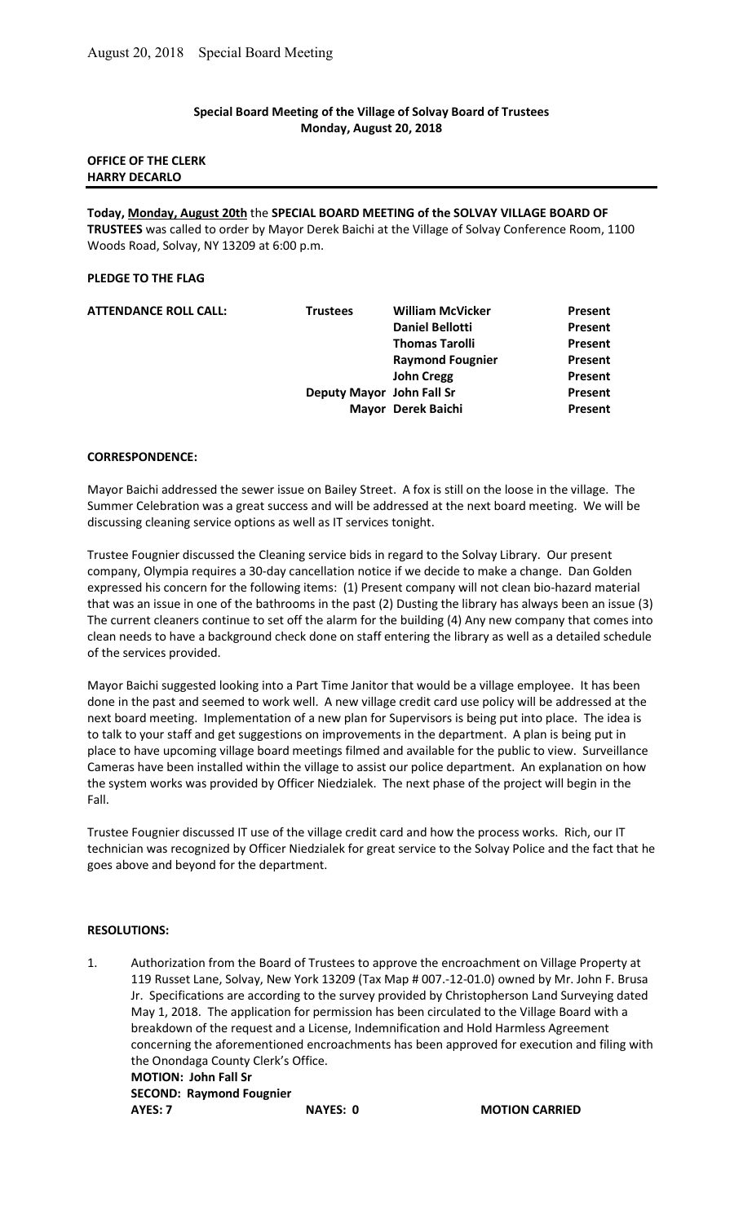### Special Board Meeting of the Village of Solvay Board of Trustees Monday, August 20, 2018

# OFFICE OF THE CLERK HARRY DECARLO

Today, Monday, August 20th the SPECIAL BOARD MEETING of the SOLVAY VILLAGE BOARD OF TRUSTEES was called to order by Mayor Derek Baichi at the Village of Solvay Conference Room, 1100 Woods Road, Solvay, NY 13209 at 6:00 p.m.

# PLEDGE TO THE FLAG

| <b>ATTENDANCE ROLL CALL:</b> | <b>Trustees</b>           | <b>William McVicker</b> | Present |
|------------------------------|---------------------------|-------------------------|---------|
|                              |                           | <b>Daniel Bellotti</b>  | Present |
|                              |                           | <b>Thomas Tarolli</b>   | Present |
|                              |                           | <b>Raymond Fougnier</b> | Present |
|                              |                           | <b>John Cregg</b>       | Present |
|                              | Deputy Mayor John Fall Sr |                         | Present |
|                              |                           | Mayor Derek Baichi      | Present |
|                              |                           |                         |         |

#### CORRESPONDENCE:

Mayor Baichi addressed the sewer issue on Bailey Street. A fox is still on the loose in the village. The Summer Celebration was a great success and will be addressed at the next board meeting. We will be discussing cleaning service options as well as IT services tonight.

Trustee Fougnier discussed the Cleaning service bids in regard to the Solvay Library. Our present company, Olympia requires a 30-day cancellation notice if we decide to make a change. Dan Golden expressed his concern for the following items: (1) Present company will not clean bio-hazard material that was an issue in one of the bathrooms in the past (2) Dusting the library has always been an issue (3) The current cleaners continue to set off the alarm for the building (4) Any new company that comes into clean needs to have a background check done on staff entering the library as well as a detailed schedule of the services provided.

Mayor Baichi suggested looking into a Part Time Janitor that would be a village employee. It has been done in the past and seemed to work well. A new village credit card use policy will be addressed at the next board meeting. Implementation of a new plan for Supervisors is being put into place. The idea is to talk to your staff and get suggestions on improvements in the department. A plan is being put in place to have upcoming village board meetings filmed and available for the public to view. Surveillance Cameras have been installed within the village to assist our police department. An explanation on how the system works was provided by Officer Niedzialek. The next phase of the project will begin in the Fall.

Trustee Fougnier discussed IT use of the village credit card and how the process works. Rich, our IT technician was recognized by Officer Niedzialek for great service to the Solvay Police and the fact that he goes above and beyond for the department.

## RESOLUTIONS:

1. Authorization from the Board of Trustees to approve the encroachment on Village Property at 119 Russet Lane, Solvay, New York 13209 (Tax Map # 007.-12-01.0) owned by Mr. John F. Brusa Jr. Specifications are according to the survey provided by Christopherson Land Surveying dated May 1, 2018. The application for permission has been circulated to the Village Board with a breakdown of the request and a License, Indemnification and Hold Harmless Agreement concerning the aforementioned encroachments has been approved for execution and filing with the Onondaga County Clerk's Office.

 MOTION: John Fall Sr SECOND: Raymond Fougnier AYES: 7 NAYES: 0 MOTION CARRIED